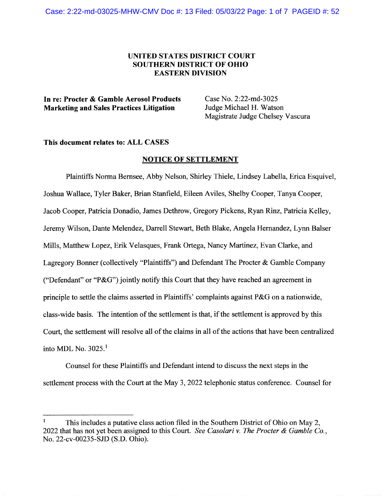## UNITED STATES DISTRICT COURT SOUTHERN DISTRICT OF OHIO **EASTERN DIVISION**

In re: Procter & Gamble Aerosol Products Case No. 2:22-md-3025<br>
Marketing and Sales Practices Litigation Judge Michael H. Watson Marketing and Sales Practices Litigation

Magistrate Judge Chelsey Vascura

## This document relates to: ALL CASES

## NOTICE OF SETTLEMENT

Plaintiffs Norma Bernsee, Abby Nelson, Shirley Thiele, Lindsey Labella, Erica Esquivel, Joshua Wallace, Tyler Baker, Brian Stanfield, Eileen Aviles, Shelby Cooper, Tanya Cooper, Jacob Cooper, Patricia Donadio, James Dethrow, Gregory Pickens, Ryan Rinz, Patricia Kelley, Jeremy Wilson, Dante Melendez, Darrell Stewart, Beth Blake, Angela Hernandez, Lynn Balser Mills, Matthew Lopez, Erik Velasques, Frank Ortega, Nancy Martinez, Evan Clarke, and Lagregory Bonner (collectively "Plaintiffs") and Defendant The Procter & Gamble Company ("Defendant" or "P&G") jointly notify this Court that they have reached an agreement in principle to settle the claims asserted in Plaintiffs' complaints against P&G on a nationwide, class-wide basis. The intention of the settlement is that, if the settlement is approved by this Court, the settlement will resolve all of the claims in all of the actions that have been centralized into MDL No.  $3025.<sup>1</sup>$ 

Counsel for these Plaintiffs and Defendant intend to discuss the next steps in the settlement process with the Court at the May 3, 2022 telephonic status conference. Counsel for

This includes a putative class action filed in the Southern District of Ohio on May 2, 2022 that has not yet been assigned to this Court. See Casolari v. The Procter & Gamble Co., No. 22-cv-00235-SJD (S.D. Ohio).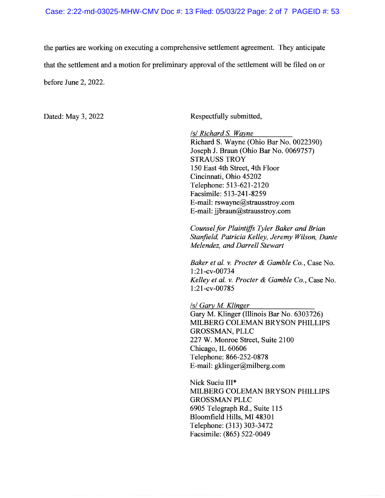the parties are working on executing a comprehensive settlement agreement. They anticipate that the settlement and a motion for preliminary approval of the settlement will be filed on or before June 2, 2022.

Dated: May 3, 2022 Respectfully submitted,

lsl Richard S. Wayne Richard S. Wayne (Ohio Bar No. 0022390) Joseph J. Braun (Ohio Bar No. 0069757) STRAUSS TROY 150 East 4th Street, 4th Floor Cincinnati, Ohio 45202 Telephone: 513-621-2120 Facsimile: 513-241-8259 E-mail: rswayne@strausstroy.com E-mail: jjbraun@strausstroy.com

Counsel for Plaintiffs Tyler Baker and Brian Stanfield, Patricia Kelley, Jeremy Wilson, Dante Melendez, and Darrell Stewart

Baker et al. v. Procter & Gamble Co., Case No. 1:21-cv-00734 Kelley et al. v. Procter  $\&$  Gamble Co., Case No. 1:21-cv-00785

lsl Gary M. Klinger Gary M. Klinger (Illinois Bar No. 6303726) MILBERG COLEMAN BRYSON PHILLIPS GROSSMAN, PLLC 227 W. Monroe Street, Suite 2100 Chicago, IL 60606 Telephone: 866-252-0878 E-mail: gklinger@milberg.com

Nick Suciu III\* MILBERG COLEMAN BRYSON PHILLIPS GROSSMAN PLLC 6905 Telegraph Rd., Suite 115 Bloomfield Hills, MI 48301 Telephone: (313) 303-3472 Facsimile: (865) 522-0049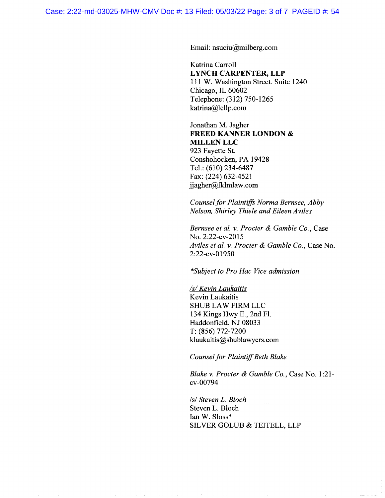Email: nsuciu@milberg.com.

Katrina Carroll LYNCH CARPENTER, LLP 111 W. Washington Street, Suite 1240 Chicago, IL 60602 Telephone: (312) 750-1265 katrina@Icllp.com

Jonathan M. Jagher FREED KANNER LONDON & MILLEN LLC 923 Fayette St. Conshohocken, PA 19428 Tel.: (610) 234-6487 Fax: (224) 632-4521 jjagher@fklmlaw.com

Counsel for Plaintiffs Norma Bernsee, Abby Nelson, Shirley Thiele and Eileen Aviles

Bernsee et al. v. Procter & Gamble Co., Case No. 2:22-cv-2015 Aviles et al. v. Procter & Gamble Co., Case No. 2:22-cv-01950

\*Subject to Pro Hac Vice admission

/s/ Kevin Laukaitis Kevin Laukaitis SHUB LAW FIRM LLC 134 Kings Hwy E., 2nd Fl. Haddonfield, NJ 08033 T: (856) 772-7200 klaukaitis@shublawyers.com

Counsel for Plaintiff Beth Blake

Blake v. Procter & Gamble Co., Case No. 1:21cv-00794

lsl Steven L. Bloch Steven L. Bloch Ian W. Sloss\* SILVER GOLUB & TEITELL, LLP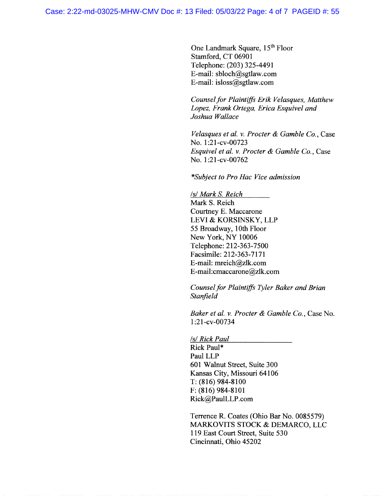One Landmark Square, 15<sup>th</sup> Floor Stamford, CT 06901 Telephone: (203) 325-4491 E-mail: sbloch@sgtlaw.com E-mail: isloss@sgtlaw.com

Counsel for Plaintiffs Erik Velasques, Matthew Lopez, Frank Ortega, Erica Esquivel and Joshua Wallace

Velasques et al. v. Procter & Gamble  $Co$ , Case No. 1:21-cv-00723 Esquivel et al. v. Procter & Gamble Co., Case No. 1:21-cv-00762

\*Subject to Pro Hac Vice admission

lsl Mark S. Reich Mark S. Reich Courtney E. Maccarone LEVI & KORSINSKY, LLP 55 Broadway, 10th Floor New York, NY 10006 Telephone: 212-363-7500 Facsimile: 212-363-7171 E-mail: mreich@zlk.com E-mail: cmaccarone@zlk.com

Counsel for Plaintiffs Tyler Baker and Brian **Stanfield** 

Baker et al. v. Procter & Gamble Co., Case No. 1:21-cv-00734

/s/ Rick Paul

Rick Paul\* Paul LLP 601 Walnut Street, Suite 300 Kansas City, Missouri 64106 T: (816) 984-8100 F: (816) 984-8101 Rick@Pau1LLP.com

Terrence R. Coates (Ohio Bar No. 0085579) MARKOVITS STOCK & DEMARCO, LLC 119 East Court Street, Suite 530 Cincinnati, Ohio 45202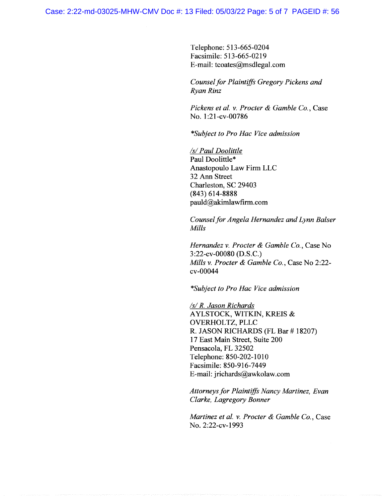Telephone; 513-665-0204 Facsimile: 513-665-0219 E-mail: tcoates@msdlegal.com

Counsel for Plaintiffs Gregory Pickens and Ryan Rinz

Pickens et al. v. Procter & Gamble Co., Case No. 1:21-cv-00786

\*Subject to Pro Hac Vice admission

/s/ Paul Doolittle Paul Doolittle\* Anastopoulo Law Firm LLC 32 Ann Street Charleston, SC 29403 (843) 614-\$888 pauld@akimlawfirm.com

Counsel for Angela Hernandez and Lynn Balser Mills

Hernandez v. Procter & Gamble Co., Case No 3:22-cv-00080 (D.S.C.) Mills v. Procter & Gamble Co., Case No 2:22cv-00044

\*Subject to Pro Hac Vice admission

/s/ R. Jason Richards AYLSTOCK, WITKIN, KREIS & QVERHOLTZ, PLLC R. JASON RICHARDS (FL Bar # 18207) 17 East Main Street, Suite 200 Pensacola, FL 32502 Telephone: 850-202-1010 Facsimile: 850-916-7449 E-mail: jrichards@awkolaw.com

Attorneys for Plaintiffs Nancy Martinez, Evan Clarke, Lagregory Bonner

Martinez et al. v. Procter & Gamble Co., Case No. 2:22-cv-1993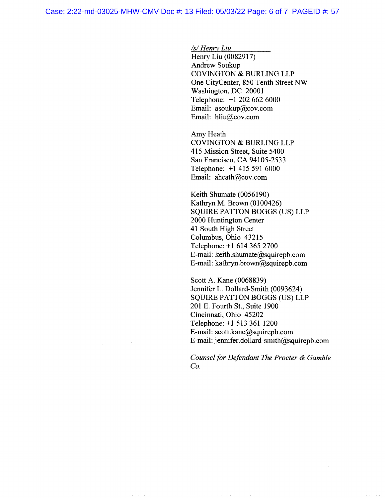$/s/$  Henry Liu

Henry Liu (0082917) Andrew Soukup COVINGTON & BURLING LLP One CityCenter, 850 Tenth Street NW Washington, DC 20001 Telephone: +1 202 662 6000 Email: asaukup@cov.com Email: hliu@cov.com

Amy Heath COVINGTON & BURLING LLP 415 Mission Street, Suite 5400 San Francisco, CA 94105-2533 Telephone: +1 415 591 6000 Email: aheath@cov.com

Keith Shumate (0056190) Kathryn M. Brown (0100426) SQUIRE PATTON BOGGS (US) LLP 2000 Huntington Center 41 South High Street Columbus, Ohio 43215 Telephone: +1 614 365 2700 E-mail: keith.shumate@squirepb.com E-mail: kathryn.brown@squirepb.com

Scott A. Kane (0068839) Jennifer L. Dollard-Smith (0093624) SQUIRE PATTON BOGGS (US) LLP 201 E. Fourth St., Suite 1900 Cincinnati, Ohio 45202 Telephone: +1 513 361 1200 E-mail: scott.kane@squirepb.com E-mail: jennifer.dollard-smith@squirepb.com

Counsel for Defendant The Procter & Gamble Co.